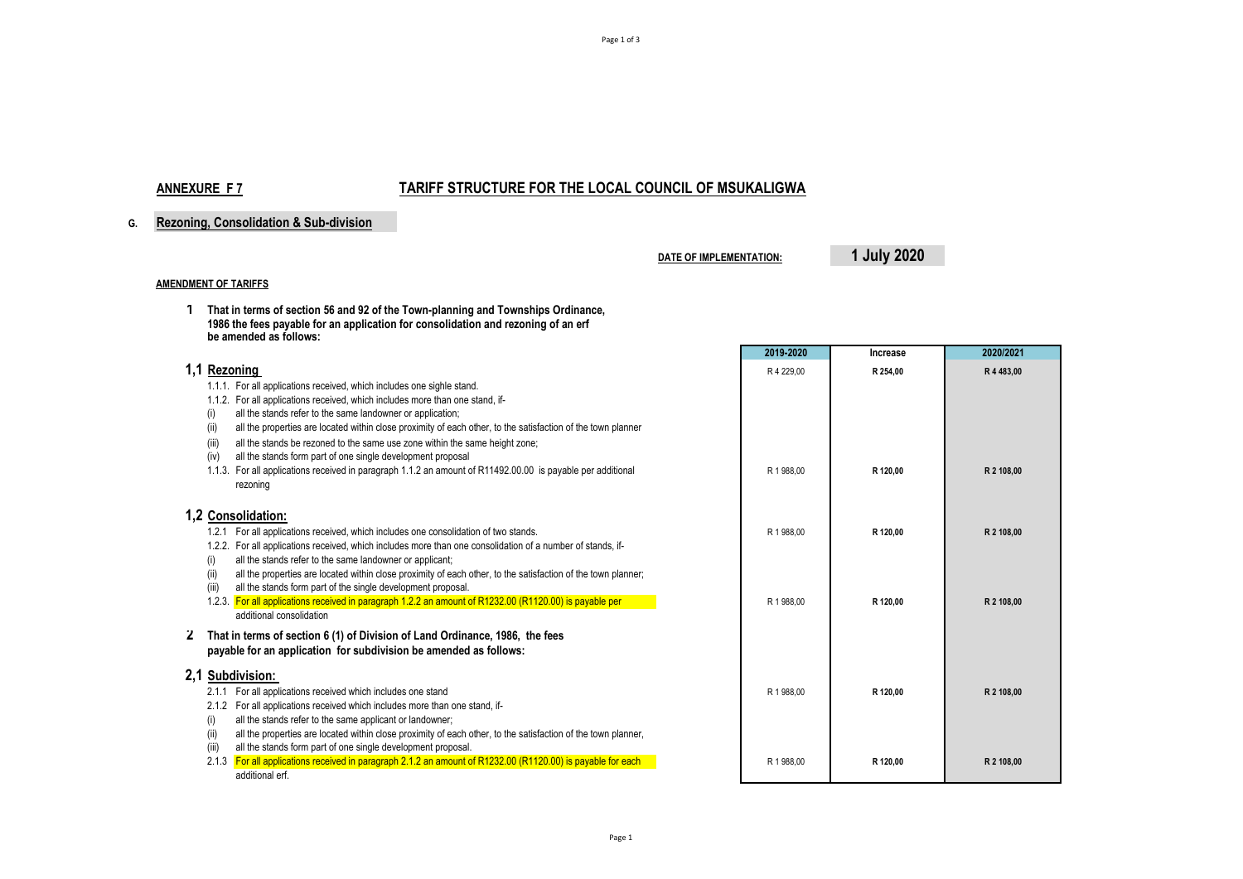# **ANNEXURE F 7 TARIFF STRUCTURE FOR THE LOCAL COUNCIL OF MSUKALIGWA**

### **G. Rezoning, Consolidation & Sub-division**

**DATE OF IMPLEMENTATION: 1 July 2020**

#### **AMENDMENT OF TARIFFS**

**1 That in terms of section 56 and 92 of the Town-planning and Townships Ordinance, 1986 the fees payable for an application for consolidation and rezoning of an erf be amended as follows:**

|                                                                                                                         | 2019-2020  | Increase | 2020/2021  |
|-------------------------------------------------------------------------------------------------------------------------|------------|----------|------------|
| 1,1 Rezoning                                                                                                            | R 4 229.00 | R 254,00 | R 4 483.00 |
| 1.1.1. For all applications received, which includes one sighle stand.                                                  |            |          |            |
| 1.1.2. For all applications received, which includes more than one stand, if-                                           |            |          |            |
| all the stands refer to the same landowner or application;<br>(i)                                                       |            |          |            |
| all the properties are located within close proximity of each other, to the satisfaction of the town planner<br>(II)    |            |          |            |
| all the stands be rezoned to the same use zone within the same height zone;<br>(iii)                                    |            |          |            |
| all the stands form part of one single development proposal<br>(iv)                                                     |            |          |            |
| 1.1.3. For all applications received in paragraph 1.1.2 an amount of R11492.00.00 is payable per additional<br>rezoning | R 1 988.00 | R 120.00 | R 2 108,00 |
| 1.2 Consolidation:                                                                                                      |            |          |            |
| 1.2.1 For all applications received, which includes one consolidation of two stands.                                    | R 1 988.00 | R 120.00 | R 2 108.00 |
| 1.2.2. For all applications received, which includes more than one consolidation of a number of stands, if-             |            |          |            |
| all the stands refer to the same landowner or applicant;<br>(i)                                                         |            |          |            |
| all the properties are located within close proximity of each other, to the satisfaction of the town planner;<br>(ii)   |            |          |            |
| all the stands form part of the single development proposal.<br>(iii)                                                   |            |          |            |
| 1.2.3. For all applications received in paragraph 1.2.2 an amount of R1232.00 (R1120.00) is payable per                 | R 1 988,00 | R 120,00 | R 2 108,00 |
| additional consolidation                                                                                                |            |          |            |
| That in terms of section 6 (1) of Division of Land Ordinance, 1986, the fees<br>$\epsilon$                              |            |          |            |
| payable for an application for subdivision be amended as follows:                                                       |            |          |            |
| 2,1 Subdivision:                                                                                                        |            |          |            |
| 2.1.1 For all applications received which includes one stand                                                            | R 1 988.00 | R 120.00 | R 2 108.00 |
| 2.1.2 For all applications received which includes more than one stand, if-                                             |            |          |            |
| all the stands refer to the same applicant or landowner;<br>(i)                                                         |            |          |            |
| all the properties are located within close proximity of each other, to the satisfaction of the town planner,<br>(ii)   |            |          |            |
| all the stands form part of one single development proposal.<br>(iii)                                                   |            |          |            |
| For all applications received in paragraph 2.1.2 an amount of R1232.00 (R1120.00) is payable for each<br>2.1.3          | R 1 988.00 | R 120,00 | R 2 108,00 |
| additional erf.                                                                                                         |            |          |            |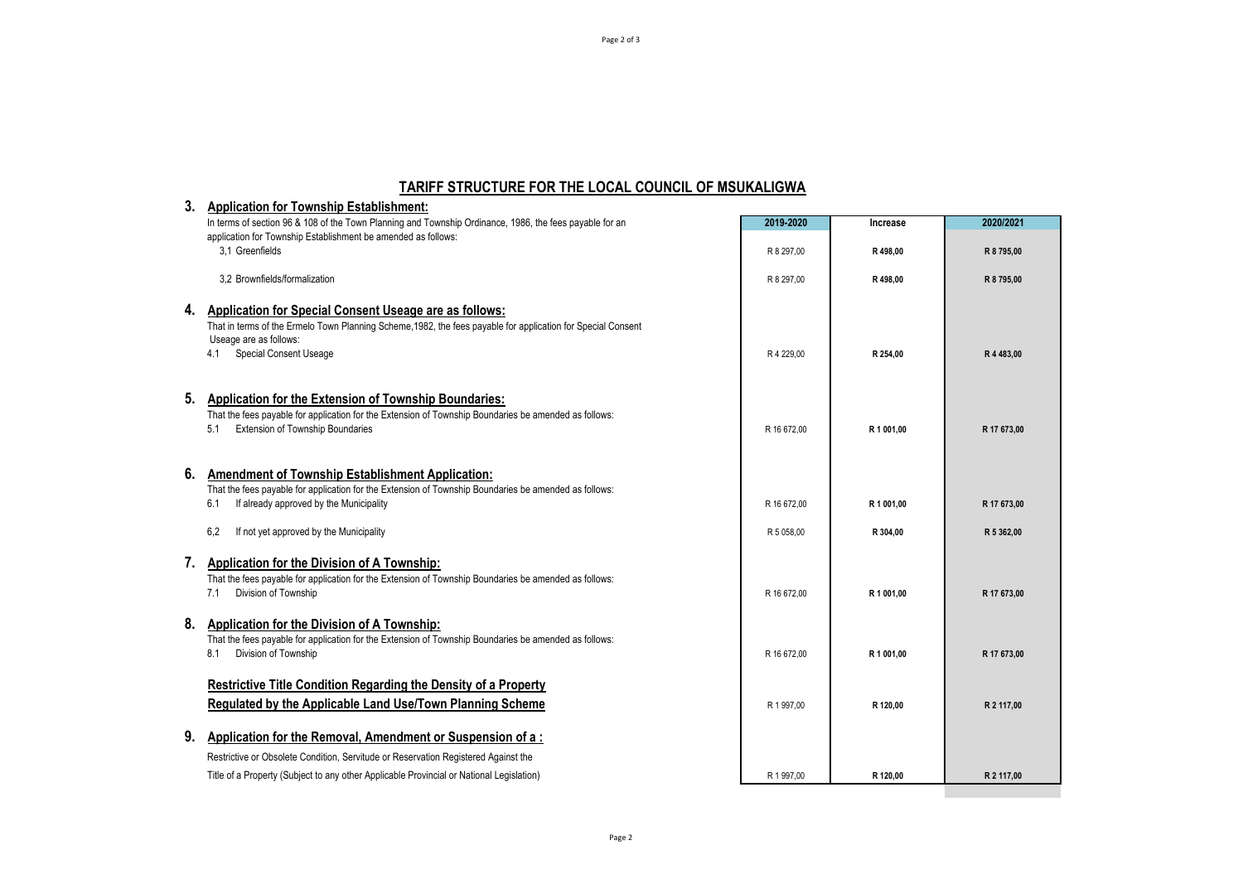## **TARIFF STRUCTURE FOR THE LOCAL COUNCIL OF MSUKALIGWA**

| 3. | <b>Application for Township Establishment:</b>                                                                                                                                                                                           |             |            |             |
|----|------------------------------------------------------------------------------------------------------------------------------------------------------------------------------------------------------------------------------------------|-------------|------------|-------------|
|    | In terms of section 96 & 108 of the Town Planning and Township Ordinance, 1986, the fees payable for an                                                                                                                                  | 2019-2020   | Increase   | 2020/2021   |
|    | application for Township Establishment be amended as follows:                                                                                                                                                                            |             |            |             |
|    | 3.1 Greenfields                                                                                                                                                                                                                          | R 8 297,00  | R 498,00   | R 8795,00   |
|    | 3.2 Brownfields/formalization                                                                                                                                                                                                            | R 8 297.00  | R498.00    | R 8 795.00  |
| 4. | Application for Special Consent Useage are as follows:<br>That in terms of the Ermelo Town Planning Scheme, 1982, the fees payable for application for Special Consent<br>Useage are as follows:<br><b>Special Consent Useage</b><br>4.1 | R 4 229,00  | R 254,00   | R 4 483,00  |
| 5. | Application for the Extension of Township Boundaries:<br>That the fees payable for application for the Extension of Township Boundaries be amended as follows:<br><b>Extension of Township Boundaries</b><br>5.1                         | R 16 672.00 | R 1 001,00 | R 17 673,00 |
| 6. | <b>Amendment of Township Establishment Application:</b><br>That the fees payable for application for the Extension of Township Boundaries be amended as follows:<br>If already approved by the Municipality<br>6.1                       | R 16 672.00 | R 1 001,00 | R 17 673,00 |
|    | 6,2<br>If not yet approved by the Municipality                                                                                                                                                                                           | R 5 058,00  | R 304,00   | R 5 362.00  |
| 7. | Application for the Division of A Township:<br>That the fees payable for application for the Extension of Township Boundaries be amended as follows:<br>Division of Township<br>7.1                                                      | R 16 672.00 | R 1 001.00 | R 17 673,00 |
| 8. | <b>Application for the Division of A Township:</b><br>That the fees payable for application for the Extension of Township Boundaries be amended as follows:<br>Division of Township<br>8.1                                               | R 16 672.00 | R 1 001.00 | R 17 673.00 |
|    | <b>Restrictive Title Condition Regarding the Density of a Property</b><br><b>Regulated by the Applicable Land Use/Town Planning Scheme</b>                                                                                               | R 1 997,00  | R 120,00   | R 2 117.00  |
| 9. | Application for the Removal, Amendment or Suspension of a:                                                                                                                                                                               |             |            |             |
|    | Restrictive or Obsolete Condition, Servitude or Reservation Registered Against the                                                                                                                                                       |             |            |             |
|    | Title of a Property (Subject to any other Applicable Provincial or National Legislation)                                                                                                                                                 | R 1 997,00  | R 120,00   | R 2 117,00  |